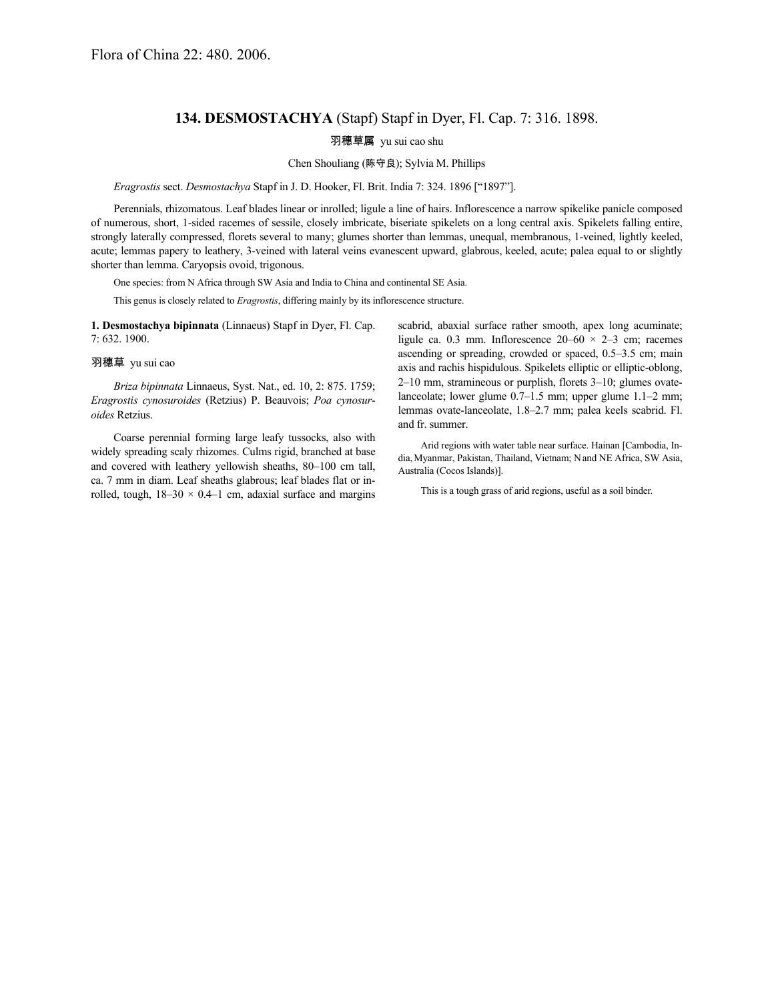## **134. DESMOSTACHYA** (Stapf) Stapf in Dyer, Fl. Cap. 7: 316. 1898.

羽穗草属 yu sui cao shu

## Chen Shouliang (陈守良); Sylvia M. Phillips

*Eragrostis* sect. *Desmostachya* Stapf in J. D. Hooker, Fl. Brit. India 7: 324. 1896 ["1897"].

Perennials, rhizomatous. Leaf blades linear or inrolled; ligule a line of hairs. Inflorescence a narrow spikelike panicle composed of numerous, short, 1-sided racemes of sessile, closely imbricate, biseriate spikelets on a long central axis. Spikelets falling entire, strongly laterally compressed, florets several to many; glumes shorter than lemmas, unequal, membranous, 1-veined, lightly keeled, acute; lemmas papery to leathery, 3-veined with lateral veins evanescent upward, glabrous, keeled, acute; palea equal to or slightly shorter than lemma. Caryopsis ovoid, trigonous.

One species: from N Africa through SW Asia and India to China and continental SE Asia.

This genus is closely related to *Eragrostis*, differing mainly by its inflorescence structure.

**1. Desmostachya bipinnata** (Linnaeus) Stapf in Dyer, Fl. Cap. 7: 632. 1900.

## 羽穗草 yu sui cao

*Briza bipinnata* Linnaeus, Syst. Nat., ed. 10, 2: 875. 1759; *Eragrostis cynosuroides* (Retzius) P. Beauvois; *Poa cynosuroides* Retzius.

Coarse perennial forming large leafy tussocks, also with widely spreading scaly rhizomes. Culms rigid, branched at base and covered with leathery yellowish sheaths, 80–100 cm tall, ca. 7 mm in diam. Leaf sheaths glabrous; leaf blades flat or inrolled, tough,  $18-30 \times 0.4-1$  cm, adaxial surface and margins scabrid, abaxial surface rather smooth, apex long acuminate; ligule ca. 0.3 mm. Inflorescence  $20-60 \times 2-3$  cm; racemes ascending or spreading, crowded or spaced, 0.5–3.5 cm; main axis and rachis hispidulous. Spikelets elliptic or elliptic-oblong, 2–10 mm, stramineous or purplish, florets 3–10; glumes ovatelanceolate; lower glume 0.7–1.5 mm; upper glume 1.1–2 mm; lemmas ovate-lanceolate, 1.8–2.7 mm; palea keels scabrid. Fl. and fr. summer.

Arid regions with water table near surface. Hainan [Cambodia, India,Myanmar, Pakistan, Thailand, Vietnam; Nand NE Africa, SW Asia, Australia (Cocos Islands)].

This is a tough grass of arid regions, useful as a soil binder.